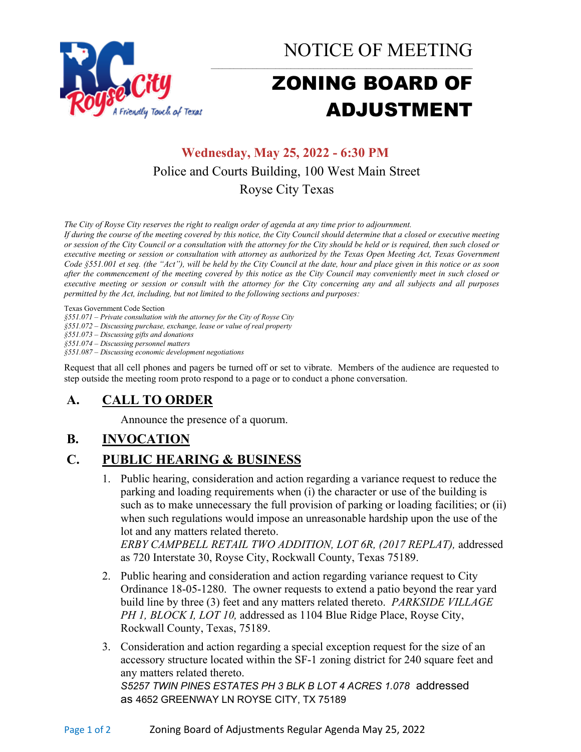

NOTICE OF MEETING

# ZONING BOARD OF ADJUSTMENT

# **Wednesday, May 25, 2022 - 6:30 PM** Police and Courts Building, 100 West Main Street Royse City Texas

*The City of Royse City reserves the right to realign order of agenda at any time prior to adjournment.*

*If during the course of the meeting covered by this notice, the City Council should determine that a closed or executive meeting or session of the City Council or a consultation with the attorney for the City should be held or is required, then such closed or executive meeting or session or consultation with attorney as authorized by the Texas Open Meeting Act, Texas Government Code §551.001 et seq. (the "Act"), will be held by the City Council at the date, hour and place given in this notice or as soon after the commencement of the meeting covered by this notice as the City Council may conveniently meet in such closed or executive meeting or session or consult with the attorney for the City concerning any and all subjects and all purposes permitted by the Act, including, but not limited to the following sections and purposes:*

Texas Government Code Section

*§551.071 – Private consultation with the attorney for the City of Royse City* 

*§551.072 – Discussing purchase, exchange, lease or value of real property* 

*§551.073 – Discussing gifts and donations*

*§551.074 – Discussing personnel matters*

*§551.087 – Discussing economic development negotiations*

Request that all cell phones and pagers be turned off or set to vibrate. Members of the audience are requested to step outside the meeting room proto respond to a page or to conduct a phone conversation.

### **A. CALL TO ORDER**

Announce the presence of a quorum.

# **B. INVOCATION**

### **C. PUBLIC HEARING & BUSINESS**

1. Public hearing, consideration and action regarding a variance request to reduce the parking and loading requirements when (i) the character or use of the building is such as to make unnecessary the full provision of parking or loading facilities; or (ii) when such regulations would impose an unreasonable hardship upon the use of the lot and any matters related thereto. *ERBY CAMPBELL RETAIL TWO ADDITION, LOT 6R, (2017 REPLAT),* addressed

as 720 Interstate 30, Royse City, Rockwall County, Texas 75189.

- 2. Public hearing and consideration and action regarding variance request to City Ordinance 18-05-1280. The owner requests to extend a patio beyond the rear yard build line by three (3) feet and any matters related thereto. *PARKSIDE VILLAGE PH 1, BLOCK I, LOT 10,* addressed as 1104 Blue Ridge Place, Royse City, Rockwall County, Texas, 75189.
- 3. Consideration and action regarding a special exception request for the size of an accessory structure located within the SF-1 zoning district for 240 square feet and any matters related thereto. *S5257 TWIN PINES ESTATES PH 3 BLK B LOT 4 ACRES 1.078* addressed

as 4652 GREENWAY LN ROYSE CITY, TX 75189